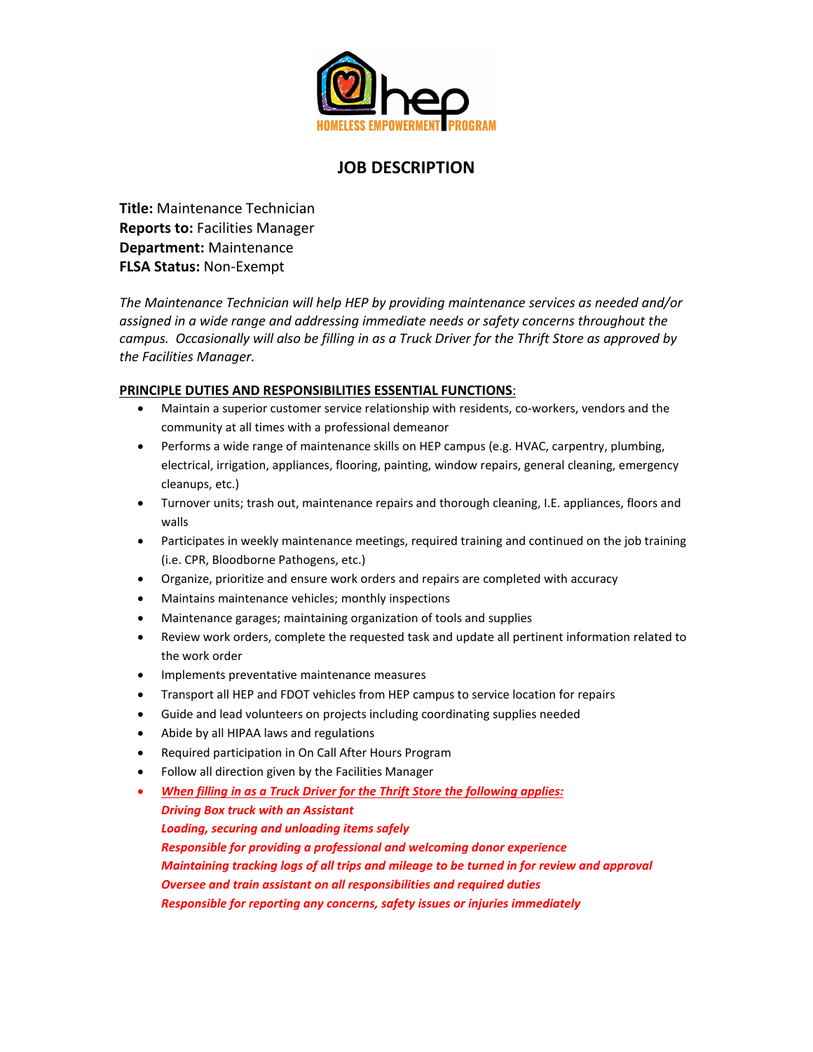

## **JOB DESCRIPTION**

**Title:** Maintenance Technician **Reports to:** Facilities Manager **Department:** Maintenance **FLSA Status:** Non-Exempt

*The Maintenance Technician will help HEP by providing maintenance services as needed and/or assigned in a wide range and addressing immediate needs or safety concerns throughout the campus. Occasionally will also be filling in as a Truck Driver for the Thrift Store as approved by the Facilities Manager.*

## **PRINCIPLE DUTIES AND RESPONSIBILITIES ESSENTIAL FUNCTIONS**:

- Maintain a superior customer service relationship with residents, co-workers, vendors and the community at all times with a professional demeanor
- Performs a wide range of maintenance skills on HEP campus (e.g. HVAC, carpentry, plumbing, electrical, irrigation, appliances, flooring, painting, window repairs, general cleaning, emergency cleanups, etc.)
- Turnover units; trash out, maintenance repairs and thorough cleaning, I.E. appliances, floors and walls
- Participates in weekly maintenance meetings, required training and continued on the job training (i.e. CPR, Bloodborne Pathogens, etc.)
- Organize, prioritize and ensure work orders and repairs are completed with accuracy
- Maintains maintenance vehicles; monthly inspections
- Maintenance garages; maintaining organization of tools and supplies
- Review work orders, complete the requested task and update all pertinent information related to the work order
- Implements preventative maintenance measures
- Transport all HEP and FDOT vehicles from HEP campus to service location for repairs
- Guide and lead volunteers on projects including coordinating supplies needed
- Abide by all HIPAA laws and regulations
- Required participation in On Call After Hours Program
- Follow all direction given by the Facilities Manager
- *When filling in as a Truck Driver for the Thrift Store the following applies:*

*Driving Box truck with an Assistant*

*Loading, securing and unloading items safely*

*Responsible for providing a professional and welcoming donor experience Maintaining tracking logs of all trips and mileage to be turned in for review and approval Oversee and train assistant on all responsibilities and required duties Responsible for reporting any concerns, safety issues or injuries immediately*